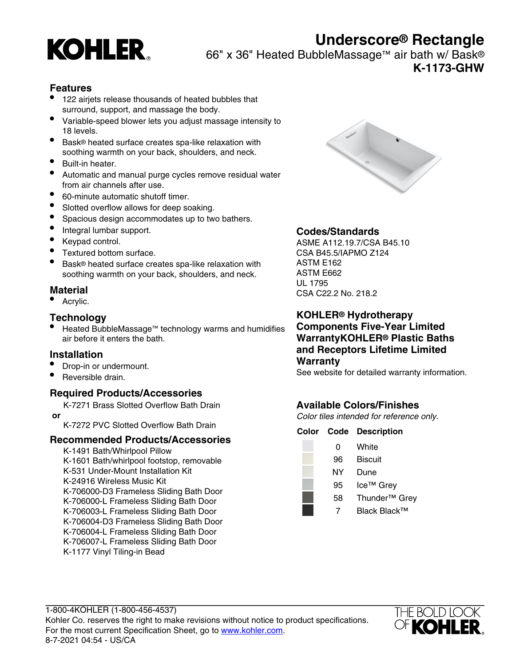

# **Underscore® Rectangle**

66" x 36" Heated BubbleMassage™ air bath w/ Bask®

**K-1173-GHW**

#### **Features**

- 122 airjets release thousands of heated bubbles that surround, support, and massage the body.
- Variable-speed blower lets you adjust massage intensity to 18 levels.
- Bask® heated surface creates spa-like relaxation with soothing warmth on your back, shoulders, and neck.
- Built-in heater.
- Automatic and manual purge cycles remove residual water from air channels after use.
- 60-minute automatic shutoff timer.
- Slotted overflow allows for deep soaking.
- Spacious design accommodates up to two bathers.
- Integral lumbar support.
- Keypad control.
- Textured bottom surface.
- Bask® heated surface creates spa-like relaxation with soothing warmth on your back, shoulders, and neck.

#### **Material**

• Acrylic.

#### **Technology**

• Heated BubbleMassage™ technology warms and humidifies air before it enters the bath.

#### **Installation**

- Drop-in or undermount.
- Reversible drain.

#### **Required Products/Accessories**

K-7271 Brass Slotted Overflow Bath Drain

 **or**

K-7272 PVC Slotted Overflow Bath Drain

#### **Recommended Products/Accessories**

K-1491 Bath/Whirlpool Pillow K-1601 Bath/whirlpool footstop, removable K-531 Under-Mount Installation Kit K-24916 Wireless Music Kit K-706000-D3 Frameless Sliding Bath Door K-706000-L Frameless Sliding Bath Door K-706003-L Frameless Sliding Bath Door K-706004-D3 Frameless Sliding Bath Door K-706004-L Frameless Sliding Bath Door K-706007-L Frameless Sliding Bath Door K-1177 Vinyl Tiling-in Bead



## **Codes/Standards**

ASME A112.19.7/CSA B45.10 CSA B45.5/IAPMO Z124 ASTM E162 ASTM E662 UL 1795 CSA C22.2 No. 218.2

**KOHLER® Hydrotherapy Components Five-Year Limited WarrantyKOHLER® Plastic Baths and Receptors Lifetime Limited Warranty**

See website for detailed warranty information.

## **Available Colors/Finishes**

Color tiles intended for reference only.

#### **Color Code Description**

| O  | White                     |
|----|---------------------------|
| 96 | <b>Biscuit</b>            |
| ΝY | Dune                      |
| 95 | Ice <sup>™</sup> Grey     |
| 58 | Thunder <sup>™</sup> Grey |
|    | Black Black™              |